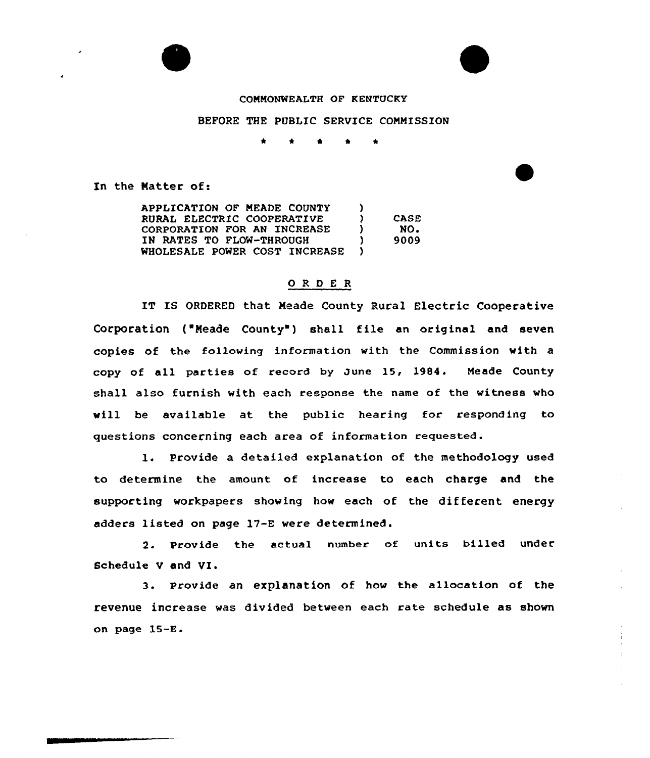



## COMMONWEALTH OF KENTUCKY

## BEFORE THE PUBLIC SERVICE COMMISSION

\* \* \* <sup>4</sup> \*

In the Natter of:

APPLICATION OF MEADE COUNTY )<br>PUBAL ELECTRIC COOPERATIVE ) RURAL ELECTRIC COOPERATIVE )<br>CORPORATION FOR AN INCREASE ) CORPORATION FOR AN INCREASE IN RATES TO FLOW-THROUGH ) WHOLESALE POWER COST INCREASE ) CASE NO. 9009

## ORDER

IT IS ORDERED that Meade County Rural Electric Cooperative Corporation ('Neade County') shall file an original and seven copies of the following in formation with the Commission with a copy of all parties of record by June 15, 1984. Meade County shall also furnish with each response the name of the witness who will he available at the public hearing for responding to questions concerning each area of information requested.

1. Provide a detailed explanation of the methodology used to determine the amount of increase to each charge and the supporting workpapers showing how each of the different energy adders listed on page 17-E were determined.

2. Provide the actual number of units billed under Schedule V and VI.

3. Provide an explanation of how the allocation of the revenue increase was divided between each rate schedule as shown on page 1S-E.